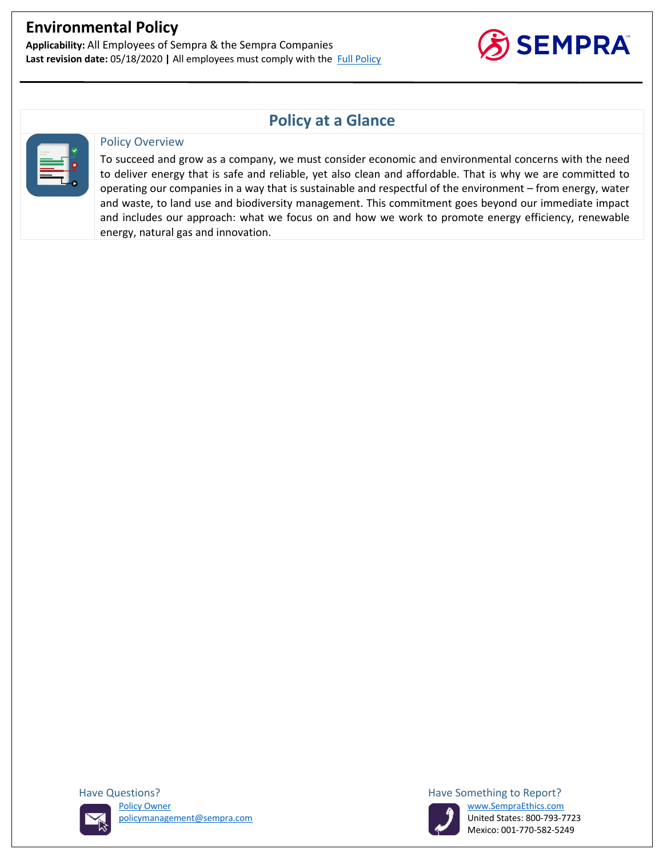**Applicability:** All Employees of Sempra & the Sempra Companies Last revision date: 05/18/2020 | All employees must comply with the Full Policy



## **Policy at a Glance**



#### Policy Overview

To succeed and grow as a company, we must consider economic and environmental concerns with the need to deliver energy that is safe and reliable, yet also clean and affordable. That is why we are committed to operating our companies in a way that is sustainable and respectful of the environment – from energy, water and waste, to land use and biodiversity management. This commitment goes beyond our immediate impact and includes our approach: what we focus on and how we work to promote energy efficiency, renewable energy, natural gas and innovation.





Mexico: 001-770-582-5249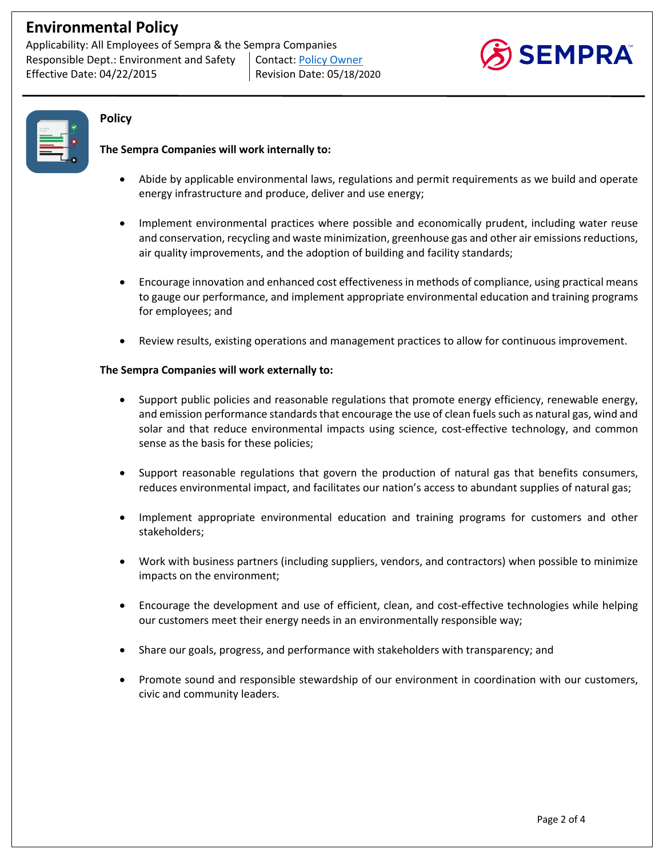Applicability: All Employees of Sempra & the Sempra Companies Responsible Dept.: Environment and Safety | Contact: Policy Owner Effective Date: 04/22/2015 Revision Date: 05/18/2020





### **Policy**

### **The Sempra Companies will work internally to:**

- Abide by applicable environmental laws, regulations and permit requirements as we build and operate energy infrastructure and produce, deliver and use energy;
- Implement environmental practices where possible and economically prudent, including water reuse and conservation, recycling and waste minimization, greenhouse gas and other air emissions reductions, air quality improvements, and the adoption of building and facility standards;
- Encourage innovation and enhanced cost effectiveness in methods of compliance, using practical means to gauge our performance, and implement appropriate environmental education and training programs for employees; and
- Review results, existing operations and management practices to allow for continuous improvement.

#### **The Sempra Companies will work externally to:**

- Support public policies and reasonable regulations that promote energy efficiency, renewable energy, and emission performance standards that encourage the use of clean fuels such as natural gas, wind and solar and that reduce environmental impacts using science, cost-effective technology, and common sense as the basis for these policies;
- Support reasonable regulations that govern the production of natural gas that benefits consumers, reduces environmental impact, and facilitates our nation's access to abundant supplies of natural gas;
- Implement appropriate environmental education and training programs for customers and other stakeholders;
- Work with business partners (including suppliers, vendors, and contractors) when possible to minimize impacts on the environment;
- Encourage the development and use of efficient, clean, and cost-effective technologies while helping our customers meet their energy needs in an environmentally responsible way;
- Share our goals, progress, and performance with stakeholders with transparency; and
- Promote sound and responsible stewardship of our environment in coordination with our customers, civic and community leaders.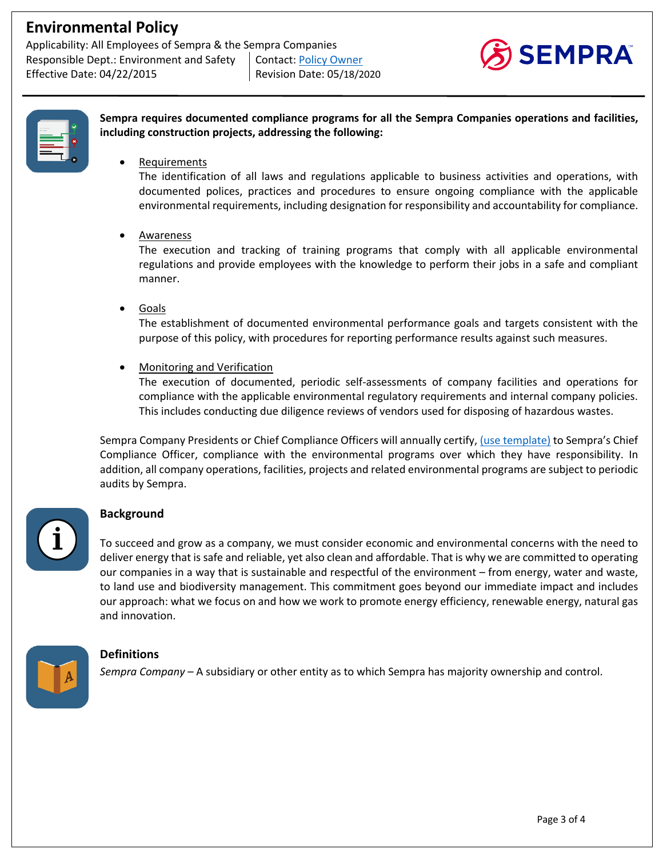Applicability: All Employees of Sempra & the Sempra Companies Responsible Dept.: Environment and Safety | Contact: Policy Owner Effective Date: 04/22/2015 Revision Date: 05/18/2020





| ____     |  |
|----------|--|
| --<br>-- |  |
|          |  |
|          |  |
|          |  |

**Sempra requires documented compliance programs for all the Sempra Companies operations and facilities, including construction projects, addressing the following:**

**Requirements** 

The identification of all laws and regulations applicable to business activities and operations, with documented polices, practices and procedures to ensure ongoing compliance with the applicable environmental requirements, including designation for responsibility and accountability for compliance.

#### • Awareness

The execution and tracking of training programs that comply with all applicable environmental regulations and provide employees with the knowledge to perform their jobs in a safe and compliant manner.

• Goals

The establishment of documented environmental performance goals and targets consistent with the purpose of this policy, with procedures for reporting performance results against such measures.

• Monitoring and Verification

The execution of documented, periodic self-assessments of company facilities and operations for compliance with the applicable environmental regulatory requirements and internal company policies. This includes conducting due diligence reviews of vendors used for disposing of hazardous wastes.

Sempra Company Presidents or Chief Compliance Officers will annually certify, (use template) to Sempra's Chief Compliance Officer, compliance with the environmental programs over which they have responsibility. In addition, all company operations, facilities, projects and related environmental programs are subject to periodic audits by Sempra.

## **Background**

To succeed and grow as a company, we must consider economic and environmental concerns with the need to deliver energy that is safe and reliable, yet also clean and affordable. That is why we are committed to operating our companies in a way that is sustainable and respectful of the environment – from energy, water and waste, to land use and biodiversity management. This commitment goes beyond our immediate impact and includes our approach: what we focus on and how we work to promote energy efficiency, renewable energy, natural gas and innovation.



## **Definitions**

*Sempra Company* – A subsidiary or other entity as to which Sempra has majority ownership and control.